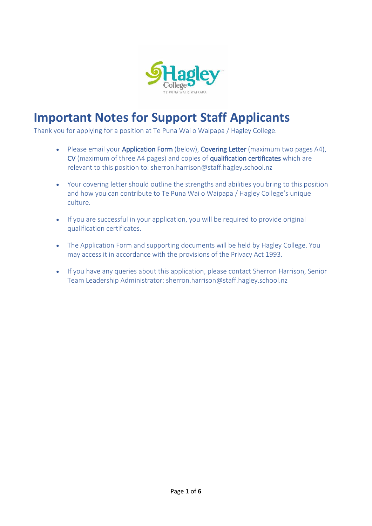

## **Important Notes for Support Staff Applicants**

Thank you for applying for a position at Te Puna Wai o Waipapa / Hagley College.

- Please email your Application Form (below), Covering Letter (maximum two pages A4), CV (maximum of three A4 pages) and copies of qualification certificates which are relevant to this position to: sherron.harrison@staff.hagley.school.nz
- Your covering letter should outline the strengths and abilities you bring to this position and how you can contribute to Te Puna Wai o Waipapa / Hagley College's unique culture.
- If you are successful in your application, you will be required to provide original qualification certificates.
- The Application Form and supporting documents will be held by Hagley College. You may access it in accordance with the provisions of the Privacy Act 1993.
- If you have any queries about this application, please contact Sherron Harrison, Senior Team Leadership Administrator: sherron.harrison@staff.hagley.school.nz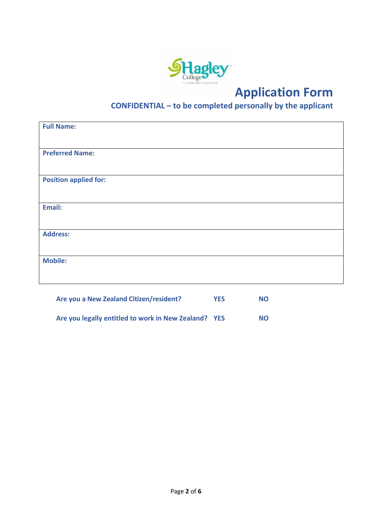

# **Application Form**

## **CONFIDENTIAL – to be completed personally by the applicant**

| <b>Full Name:</b>                       |            |           |  |
|-----------------------------------------|------------|-----------|--|
|                                         |            |           |  |
| <b>Preferred Name:</b>                  |            |           |  |
|                                         |            |           |  |
| <b>Position applied for:</b>            |            |           |  |
|                                         |            |           |  |
| Email:                                  |            |           |  |
|                                         |            |           |  |
| <b>Address:</b>                         |            |           |  |
|                                         |            |           |  |
| <b>Mobile:</b>                          |            |           |  |
|                                         |            |           |  |
|                                         |            |           |  |
| Are you a New Zealand Citizen/resident? | <b>YES</b> | <b>NO</b> |  |

| Are you legally entitled to work in New Zealand? YES |  | <b>NO</b> |
|------------------------------------------------------|--|-----------|
|------------------------------------------------------|--|-----------|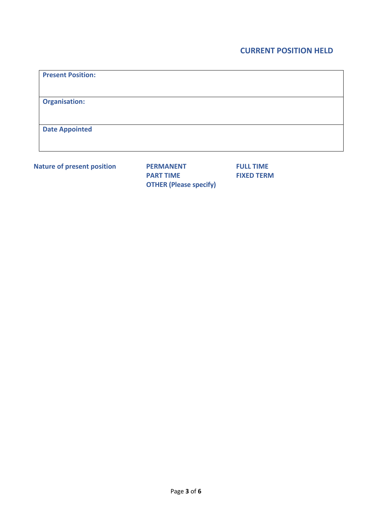**Present Position: Organisation: Date Appointed** 

**Nature of present position FERMANENT FULL TIME PART TIME FIXED TERM OTHER (Please specify)**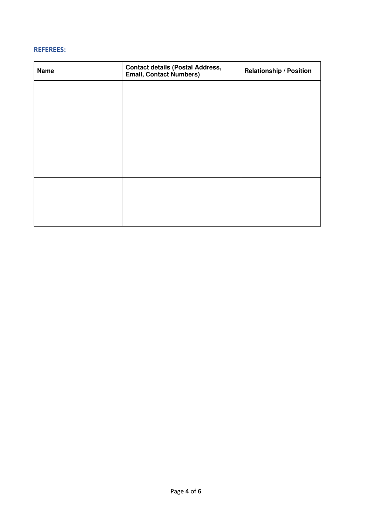#### **REFEREES:**

| <b>Name</b> | <b>Contact details (Postal Address,</b><br><b>Email, Contact Numbers)</b> | <b>Relationship / Position</b> |
|-------------|---------------------------------------------------------------------------|--------------------------------|
|             |                                                                           |                                |
|             |                                                                           |                                |
|             |                                                                           |                                |
|             |                                                                           |                                |
|             |                                                                           |                                |
|             |                                                                           |                                |
|             |                                                                           |                                |
|             |                                                                           |                                |
|             |                                                                           |                                |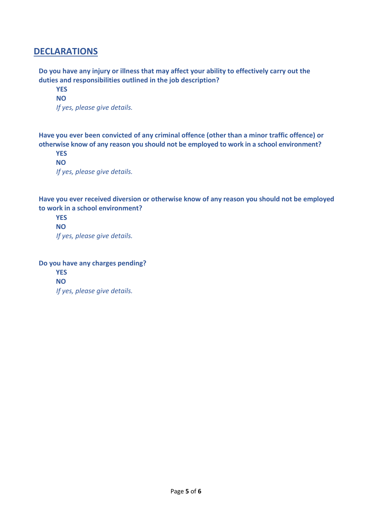## **DECLARATIONS**

**Do you have any injury or illness that may affect your ability to effectively carry out the duties and responsibilities outlined in the job description?** 

 **YES NO**  *If yes, please give details.* 

**Have you ever been convicted of any criminal offence (other than a minor traffic offence) or otherwise know of any reason you should not be employed to work in a school environment?** 

**YES NO**  *If yes, please give details.* 

**Have you ever received diversion or otherwise know of any reason you should not be employed to work in a school environment?** 

**YES NO**  *If yes, please give details.* 

**Do you have any charges pending?** 

**YES NO**  *If yes, please give details.*